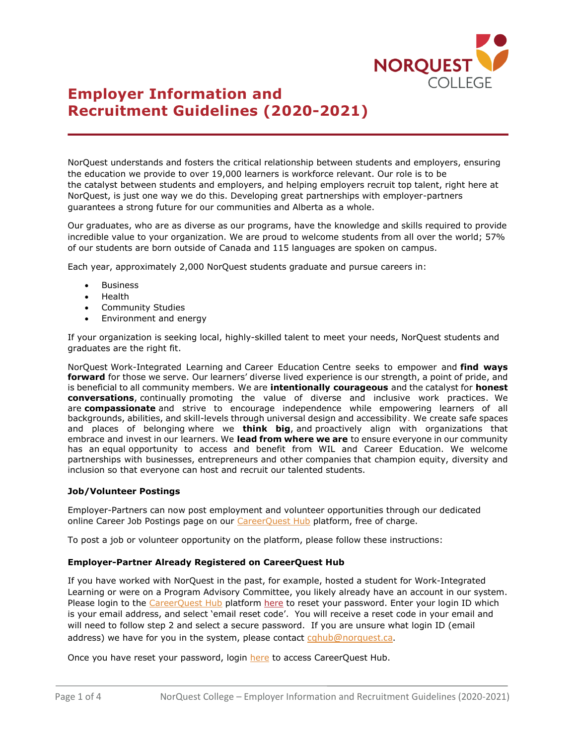

# **Employer Information and Recruitment Guidelines (2020-2021)**

NorQuest understands and fosters the critical relationship between students and employers, ensuring the education we provide to over 19,000 learners is workforce relevant. Our role is to be the catalyst between students and employers, and helping employers recruit top talent, right here at NorQuest, is just one way we do this. Developing great partnerships with employer-partners guarantees a strong future for our communities and Alberta as a whole.

Our graduates, who are as diverse as our programs, have the knowledge and skills required to provide incredible value to your organization. We are proud to welcome students from all over the world; 57% of our students are born outside of Canada and 115 languages are spoken on campus.

Each year, approximately 2,000 NorQuest students graduate and pursue careers in:

- **Business**
- Health
- Community Studies
- Environment and energy

If your organization is seeking local, highly-skilled talent to meet your needs, NorQuest students and graduates are the right fit.

NorQuest Work-Integrated Learning and Career Education Centre seeks to empower and **find ways forward** for those we serve. Our learners' diverse lived experience is our strength, a point of pride, and is beneficial to all community members. We are **intentionally courageous** and the catalyst for **honest conversations**, continually promoting the value of diverse and inclusive work practices. We are **compassionate** and strive to encourage independence while empowering learners of all backgrounds, abilities, and skill-levels through universal design and accessibility. We create safe spaces and places of belonging where we **think big**, and proactively align with organizations that embrace and invest in our learners. We **lead from where we are** to ensure everyone in our community has an equal opportunity to access and benefit from WIL and Career Education. We welcome partnerships with businesses, entrepreneurs and other companies that champion equity, diversity and inclusion so that everyone can host and recruit our talented students.

# **Job/Volunteer Postings**

Employer-Partners can now post employment and volunteer opportunities through our dedicated online Career Job Postings page on our [CareerQuest Hub](https://cqhub.norquest.ca/home/home.htm) platform, free of charge.

To post a job or volunteer opportunity on the platform, please follow these instructions:

# **Employer-Partner Already Registered on CareerQuest Hub**

If you have worked with NorQuest in the past, for example, hosted a student for Work-Integrated Learning or were on a Program Advisory Committee, you likely already have an account in our system. Please login to the [CareerQuest Hub](https://cqhub.norquest.ca/home/home.htm) platform [here](https://cqhub.norquest.ca/home/employer/forgot-password.htm) to reset your password. Enter your login ID which is your email address, and select 'email reset code'. You will receive a reset code in your email and will need to follow step 2 and select a secure password. If you are unsure what login ID (email address) we have for you in the system, please contact  $cghub@norquest.ca$ .

Once you have reset your password, login [here](https://cqhub.norquest.ca/home/home.htm) to access CareerQuest Hub.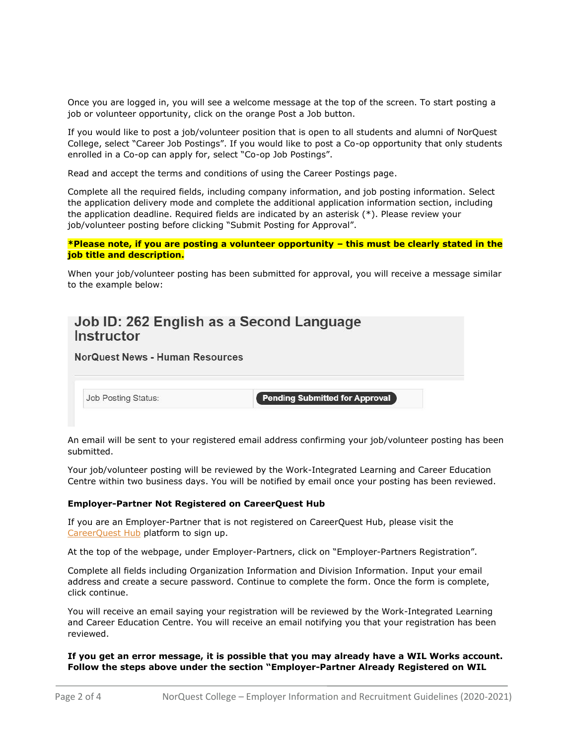Once you are logged in, you will see a welcome message at the top of the screen. To start posting a job or volunteer opportunity, click on the orange Post a Job button.

If you would like to post a job/volunteer position that is open to all students and alumni of NorQuest College, select "Career Job Postings". If you would like to post a Co-op opportunity that only students enrolled in a Co-op can apply for, select "Co-op Job Postings".

Read and accept the terms and conditions of using the Career Postings page.

Complete all the required fields, including company information, and job posting information. Select the application delivery mode and complete the additional application information section, including the application deadline. Required fields are indicated by an asterisk (\*). Please review your job/volunteer posting before clicking "Submit Posting for Approval".

**\*Please note, if you are posting a volunteer opportunity – this must be clearly stated in the job title and description.**

When your job/volunteer posting has been submitted for approval, you will receive a message similar to the example below:

# Job ID: 262 English as a Second Language Instructor

**NorQuest News - Human Resources** 

Job Posting Status:

**Pending Submitted for Approval** 

An email will be sent to your registered email address confirming your job/volunteer posting has been submitted.

Your job/volunteer posting will be reviewed by the Work-Integrated Learning and Career Education Centre within two business days. You will be notified by email once your posting has been reviewed.

# **Employer-Partner Not Registered on CareerQuest Hub**

If you are an Employer-Partner that is not registered on CareerQuest Hub, please visit the [CareerQuest Hub](https://cqhub.norquest.ca/home/home.htm) platform to sign up.

At the top of the webpage, under Employer-Partners, click on "Employer-Partners Registration".

Complete all fields including Organization Information and Division Information. Input your email address and create a secure password. Continue to complete the form. Once the form is complete, click continue.

You will receive an email saying your registration will be reviewed by the Work-Integrated Learning and Career Education Centre. You will receive an email notifying you that your registration has been reviewed.

# **If you get an error message, it is possible that you may already have a WIL Works account. Follow the steps above under the section "Employer-Partner Already Registered on WIL**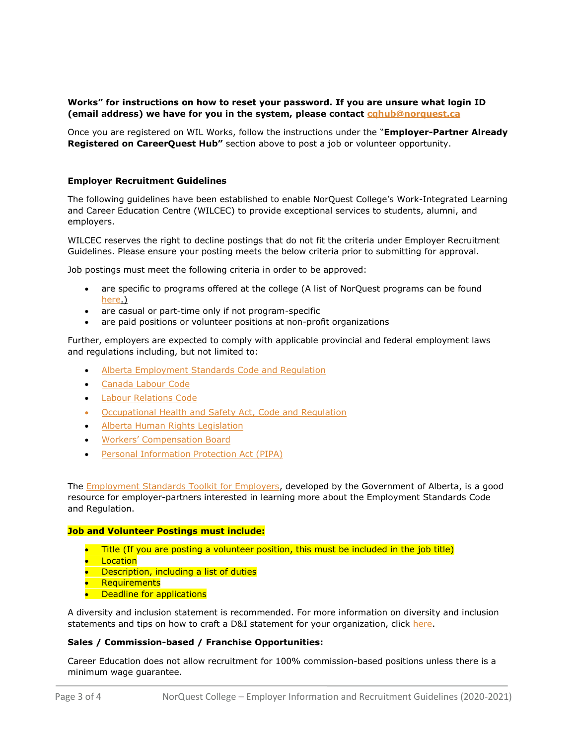# **Works" for instructions on how to reset your password. If you are unsure what login ID (email address) we have for you in the system, please contact [cqhub@norquest.ca](mailto:cqhub@norquest.ca)**

Once you are registered on WIL Works, follow the instructions under the "**Employer-Partner Already Registered on CareerQuest Hub"** section above to post a job or volunteer opportunity.

# **Employer Recruitment Guidelines**

The following guidelines have been established to enable NorQuest College's Work-Integrated Learning and Career Education Centre (WILCEC) to provide exceptional services to students, alumni, and employers.

WILCEC reserves the right to decline postings that do not fit the criteria under Employer Recruitment Guidelines. Please ensure your posting meets the below criteria prior to submitting for approval.

Job postings must meet the following criteria in order to be approved:

- are specific to programs offered at the college (A list of NorQuest programs can be found [here.](https://www.norquest.ca/programs-courses/programs.aspx))
- are casual or part-time only if not program-specific
- are paid positions or volunteer positions at non-profit organizations

Further, employers are expected to comply with applicable provincial and federal employment laws and regulations including, but not limited to:

- [Alberta Employment Standards Code and Regulation](https://www.qp.alberta.ca/documents/Acts/E09.pdf)
- [Canada Labour Code](https://laws-lois.justice.gc.ca/eng/acts/L-2/)
- **[Labour Relations Code](https://www.qp.alberta.ca/documents/Acts/L01.pdf)**
- [Occupational Health and Safety Act, Code and Regulation](https://www.alberta.ca/ohs-act-regulation-code.aspx)
- [Alberta Human Rights Legislation](https://www.albertahumanrights.ab.ca/about/Pages/legislation.aspx)
- [Workers' Compensation Board](https://www.wcb.ab.ca/resources/for-employers/)
- [Personal Information Protection Act \(PIPA\)](https://www.alberta.ca/personal-information-protection-act.aspx)

The [Employment Standards Toolkit for Employers,](https://www.alberta.ca/assets/documents/es-employer-toolkit-lowrez.pdf) developed by the Government of Alberta, is a good resource for employer-partners interested in learning more about the Employment Standards Code and Regulation.

# **Job and Volunteer Postings must include:**

- Title (If you are posting a volunteer position, this must be included in the job title)
- Location
- **•** Description, including a list of duties
- Requirements
- **•** Deadline for applications

A diversity and inclusion statement is recommended. For more information on diversity and inclusion statements and tips on how to craft a D&I statement for your organization, click [here.](https://learn.g2.com/diversity-statement)

# **Sales / Commission-based / Franchise Opportunities:**

Career Education does not allow recruitment for 100% commission-based positions unless there is a minimum wage guarantee.